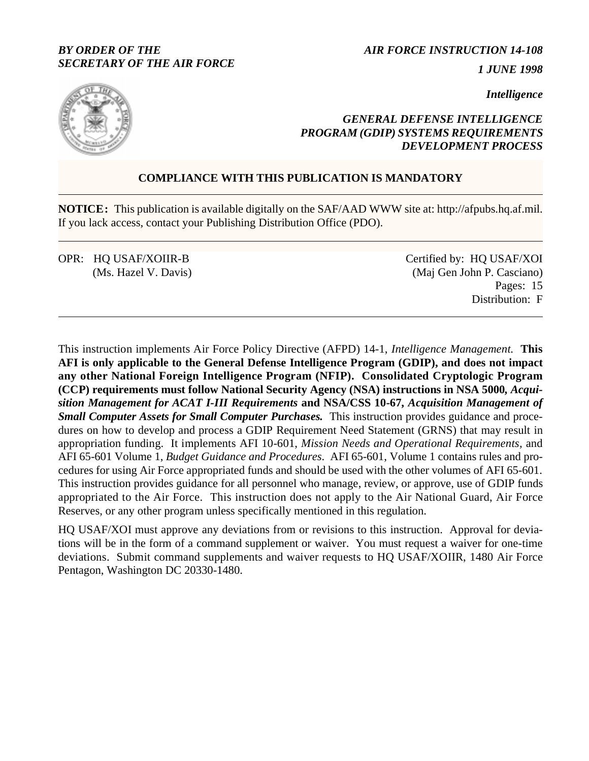## *BY ORDER OF THE SECRETARY OF THE AIR FORCE*

*AIR FORCE INSTRUCTION 14-108*

*1 JUNE 1998*

*Intelligence*



## *GENERAL DEFENSE INTELLIGENCE PROGRAM (GDIP) SYSTEMS REQUIREMENTS DEVELOPMENT PROCESS*

# **COMPLIANCE WITH THIS PUBLICATION IS MANDATORY**

**NOTICE:** This publication is available digitally on the SAF/AAD WWW site at: http://afpubs.hq.af.mil. If you lack access, contact your Publishing Distribution Office (PDO).

OPR: HQ USAF/XOIIR-B (Ms. Hazel V. Davis) Certified by: HQ USAF/XOI (Maj Gen John P. Casciano) Pages: 15 Distribution: F

This instruction implements Air Force Policy Directive (AFPD) 14-1, *Intelligence Management.* **This AFI is only applicable to the General Defense Intelligence Program (GDIP), and does not impact any other National Foreign Intelligence Program (NFIP). Consolidated Cryptologic Program (CCP) requirements must follow National Security Agency (NSA) instructions in NSA 5000***, Acquisition Management for ACAT I-III Requirements* **and NSA/CSS 10-67***, Acquisition Management of Small Computer Assets for Small Computer Purchases.* This instruction provides guidance and procedures on how to develop and process a GDIP Requirement Need Statement (GRNS) that may result in appropriation funding. It implements AFI 10-601, *Mission Needs and Operational Requirements,* and AFI 65-601 Volume 1, *Budget Guidance and Procedures.* AFI 65-601, Volume 1 contains rules and procedures for using Air Force appropriated funds and should be used with the other volumes of AFI 65-601. This instruction provides guidance for all personnel who manage, review, or approve, use of GDIP funds appropriated to the Air Force. This instruction does not apply to the Air National Guard, Air Force Reserves, or any other program unless specifically mentioned in this regulation.

HQ USAF/XOI must approve any deviations from or revisions to this instruction. Approval for deviations will be in the form of a command supplement or waiver. You must request a waiver for one-time deviations. Submit command supplements and waiver requests to HQ USAF/XOIIR, 1480 Air Force Pentagon, Washington DC 20330-1480.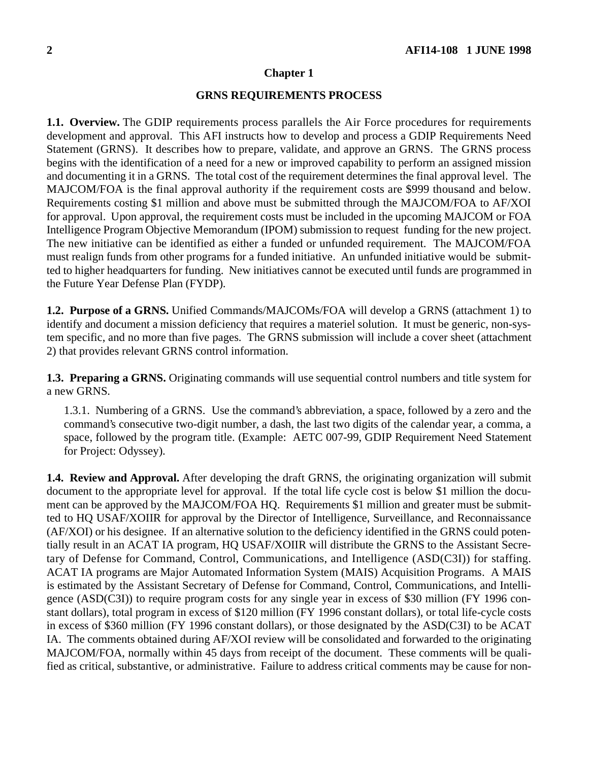#### **Chapter 1**

### **GRNS REQUIREMENTS PROCESS**

**1.1. Overview.** The GDIP requirements process parallels the Air Force procedures for requirements development and approval. This AFI instructs how to develop and process a GDIP Requirements Need Statement (GRNS). It describes how to prepare, validate, and approve an GRNS. The GRNS process begins with the identification of a need for a new or improved capability to perform an assigned mission and documenting it in a GRNS. The total cost of the requirement determines the final approval level. The MAJCOM/FOA is the final approval authority if the requirement costs are \$999 thousand and below. Requirements costing \$1 million and above must be submitted through the MAJCOM/FOA to AF/XOI for approval. Upon approval, the requirement costs must be included in the upcoming MAJCOM or FOA Intelligence Program Objective Memorandum (IPOM) submission to request funding for the new project. The new initiative can be identified as either a funded or unfunded requirement. The MAJCOM/FOA must realign funds from other programs for a funded initiative. An unfunded initiative would be submitted to higher headquarters for funding. New initiatives cannot be executed until funds are programmed in the Future Year Defense Plan (FYDP).

**1.2. Purpose of a GRNS.** Unified Commands/MAJCOMs/FOA will develop a GRNS (attachment 1) to identify and document a mission deficiency that requires a materiel solution. It must be generic, non-system specific, and no more than five pages. The GRNS submission will include a cover sheet (attachment 2) that provides relevant GRNS control information.

**1.3. Preparing a GRNS.** Originating commands will use sequential control numbers and title system for a new GRNS.

1.3.1. Numbering of a GRNS.Use the command's abbreviation, a space, followed by a zero and the command's consecutive two-digit number, a dash, the last two digits of the calendar year, a comma, a space, followed by the program title. (Example: AETC 007-99, GDIP Requirement Need Statement for Project: Odyssey).

**1.4. Review and Approval.** After developing the draft GRNS, the originating organization will submit document to the appropriate level for approval. If the total life cycle cost is below \$1 million the document can be approved by the MAJCOM/FOA HQ. Requirements \$1 million and greater must be submitted to HQ USAF/XOIIR for approval by the Director of Intelligence, Surveillance, and Reconnaissance (AF/XOI) or his designee. If an alternative solution to the deficiency identified in the GRNS could potentially result in an ACAT IA program, HQ USAF/XOIIR will distribute the GRNS to the Assistant Secretary of Defense for Command, Control, Communications, and Intelligence (ASD(C3I)) for staffing. ACAT IA programs are Major Automated Information System (MAIS) Acquisition Programs. A MAIS is estimated by the Assistant Secretary of Defense for Command, Control, Communications, and Intelligence (ASD(C3I)) to require program costs for any single year in excess of \$30 million (FY 1996 constant dollars), total program in excess of \$120 million (FY 1996 constant dollars), or total life-cycle costs in excess of \$360 million (FY 1996 constant dollars), or those designated by the ASD(C3I) to be ACAT IA. The comments obtained during AF/XOI review will be consolidated and forwarded to the originating MAJCOM/FOA, normally within 45 days from receipt of the document. These comments will be qualified as critical, substantive, or administrative. Failure to address critical comments may be cause for non-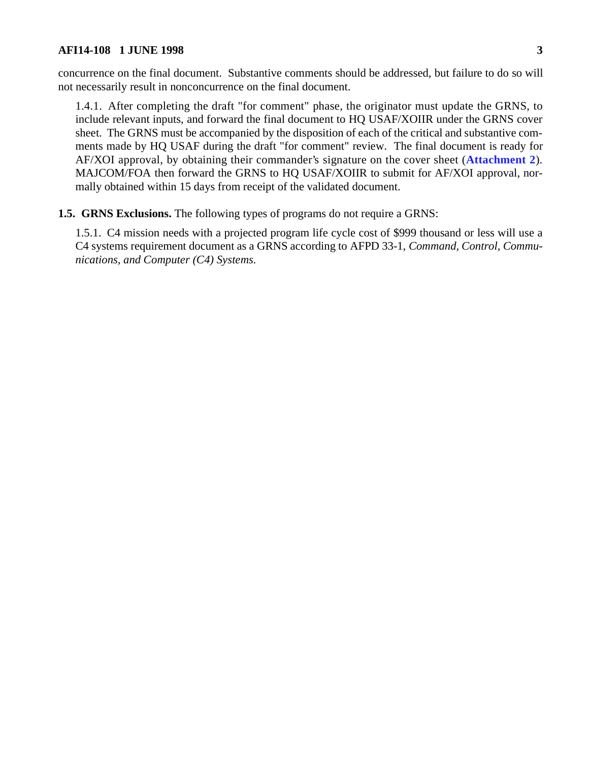concurrence on the final document. Substantive comments should be addressed, but failure to do so will not necessarily result in nonconcurrence on the final document.

1.4.1. After completing the draft "for comment" phase, the originator must update the GRNS, to include relevant inputs, and forward the final document to HQ USAF/XOIIR under the GRNS cover sheet. The GRNS must be accompanied by the disposition of each of the critical and substantive comments made by HQ USAF during the draft "for comment" review. The final document is ready for AF/XOI approval, by obtaining their commander's signature on the cover sheet (**[Attachment 2](#page-14-0)**). MAJCOM/FOA then forward the GRNS to HQ USAF/XOIIR to submit for AF/XOI approval, normally obtained within 15 days from receipt of the validated document.

**1.5. GRNS Exclusions.** The following types of programs do not require a GRNS:

1.5.1. C4 mission needs with a projected program life cycle cost of \$999 thousand or less will use a C4 systems requirement document as a GRNS according to AFPD 33-1, *Command, Control, Communications, and Computer (C4) Systems*.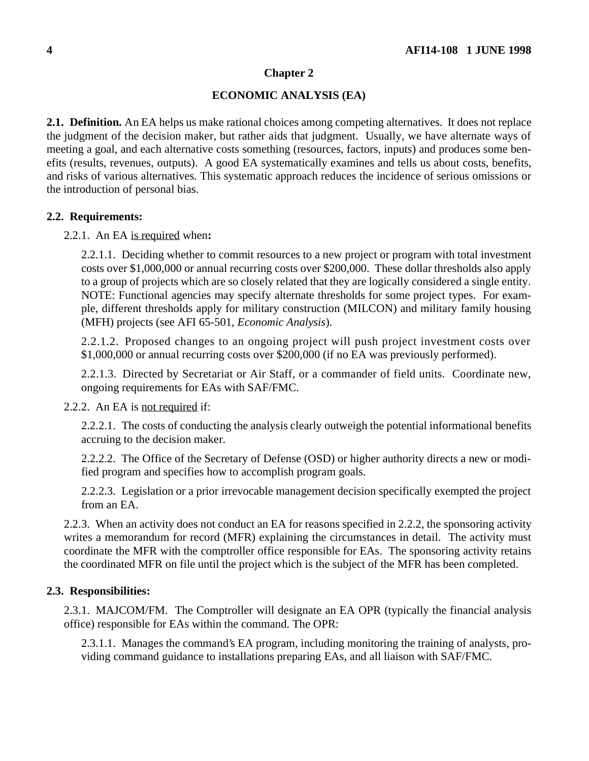## **Chapter 2**

## **ECONOMIC ANALYSIS (EA)**

<span id="page-3-0"></span>**2.1. Definition.** An EA helps us make rational choices among competing alternatives. It does not replace the judgment of the decision maker, but rather aids that judgment. Usually, we have alternate ways of meeting a goal, and each alternative costs something (resources, factors, inputs) and produces some benefits (results, revenues, outputs). A good EA systematically examines and tells us about costs, benefits, and risks of various alternatives. This systematic approach reduces the incidence of serious omissions or the introduction of personal bias.

### **2.2. Requirements:**

#### 2.2.1. An EA is required when**:**

2.2.1.1. Deciding whether to commit resources to a new project or program with total investment costs over \$1,000,000 or annual recurring costs over \$200,000. These dollar thresholds also apply to a group of projects which are so closely related that they are logically considered a single entity. NOTE: Functional agencies may specify alternate thresholds for some project types. For example, different thresholds apply for military construction (MILCON) and military family housing (MFH) projects (see AFI 65-501, *Economic Analysis*).

2.2.1.2. Proposed changes to an ongoing project will push project investment costs over \$1,000,000 or annual recurring costs over \$200,000 (if no EA was previously performed).

2.2.1.3. Directed by Secretariat or Air Staff, or a commander of field units. Coordinate new, ongoing requirements for EAs with SAF/FMC.

2.2.2. An EA is not required if:

2.2.2.1. The costs of conducting the analysis clearly outweigh the potential informational benefits accruing to the decision maker.

2.2.2.2. The Office of the Secretary of Defense (OSD) or higher authority directs a new or modified program and specifies how to accomplish program goals.

2.2.2.3. Legislation or a prior irrevocable management decision specifically exempted the project from an EA.

2.2.3. When an activity does not conduct an EA for reasons specified in 2.2.2, the sponsoring activity writes a memorandum for record (MFR) explaining the circumstances in detail. The activity must coordinate the MFR with the comptroller office responsible for EAs. The sponsoring activity retains the coordinated MFR on file until the project which is the subject of the MFR has been completed.

## **2.3. Responsibilities:**

2.3.1. MAJCOM/FM.The Comptroller will designate an EA OPR (typically the financial analysis office) responsible for EAs within the command. The OPR:

2.3.1.1. Manages the command's EA program, including monitoring the training of analysts, providing command guidance to installations preparing EAs, and all liaison with SAF/FMC.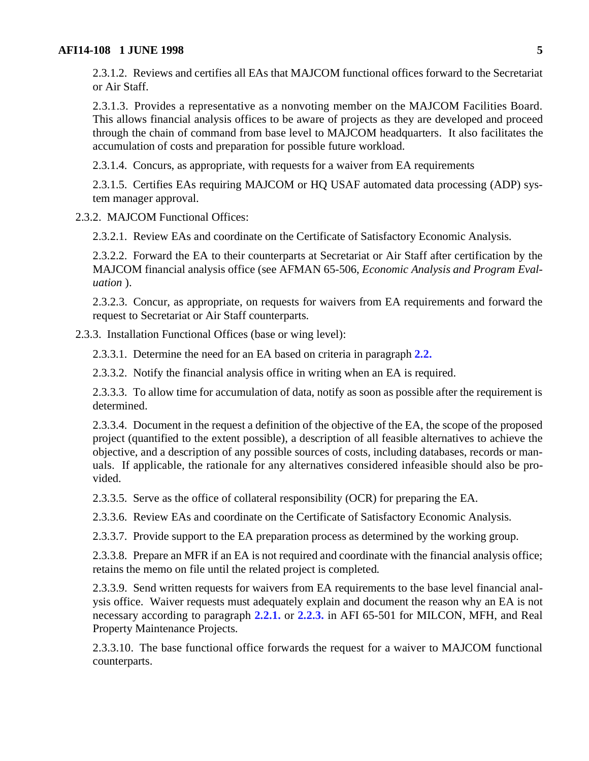2.3.1.2. Reviews and certifies all EAs that MAJCOM functional offices forward to the Secretariat or Air Staff.

2.3.1.3. Provides a representative as a nonvoting member on the MAJCOM Facilities Board. This allows financial analysis offices to be aware of projects as they are developed and proceed through the chain of command from base level to MAJCOM headquarters. It also facilitates the accumulation of costs and preparation for possible future workload.

2.3.1.4. Concurs, as appropriate, with requests for a waiver from EA requirements

2.3.1.5. Certifies EAs requiring MAJCOM or HQ USAF automated data processing (ADP) system manager approval.

2.3.2. MAJCOM Functional Offices:

2.3.2.1. Review EAs and coordinate on the Certificate of Satisfactory Economic Analysis.

2.3.2.2. Forward the EA to their counterparts at Secretariat or Air Staff after certification by the MAJCOM financial analysis office (see AFMAN 65-506, *Economic Analysis and Program Evaluation* ).

2.3.2.3. Concur, as appropriate, on requests for waivers from EA requirements and forward the request to Secretariat or Air Staff counterparts.

2.3.3. Installation Functional Offices (base or wing level):

2.3.3.1. Determine the need for an EA based on criteria in paragraph **[2.2.](#page-3-0)**

2.3.3.2. Notify the financial analysis office in writing when an EA is required.

2.3.3.3. To allow time for accumulation of data, notify as soon as possible after the requirement is determined.

2.3.3.4. Document in the request a definition of the objective of the EA, the scope of the proposed project (quantified to the extent possible), a description of all feasible alternatives to achieve the objective, and a description of any possible sources of costs, including databases, records or manuals. If applicable, the rationale for any alternatives considered infeasible should also be provided.

2.3.3.5. Serve as the office of collateral responsibility (OCR) for preparing the EA.

2.3.3.6. Review EAs and coordinate on the Certificate of Satisfactory Economic Analysis.

2.3.3.7. Provide support to the EA preparation process as determined by the working group.

2.3.3.8. Prepare an MFR if an EA is not required and coordinate with the financial analysis office; retains the memo on file until the related project is completed.

2.3.3.9. Send written requests for waivers from EA requirements to the base level financial analysis office. Waiver requests must adequately explain and document the reason why an EA is not necessary according to paragraph **[2.2.1.](#page-3-0)** or **[2.2.3.](#page-3-0)** in AFI 65-501 for MILCON, MFH, and Real Property Maintenance Projects.

2.3.3.10. The base functional office forwards the request for a waiver to MAJCOM functional counterparts.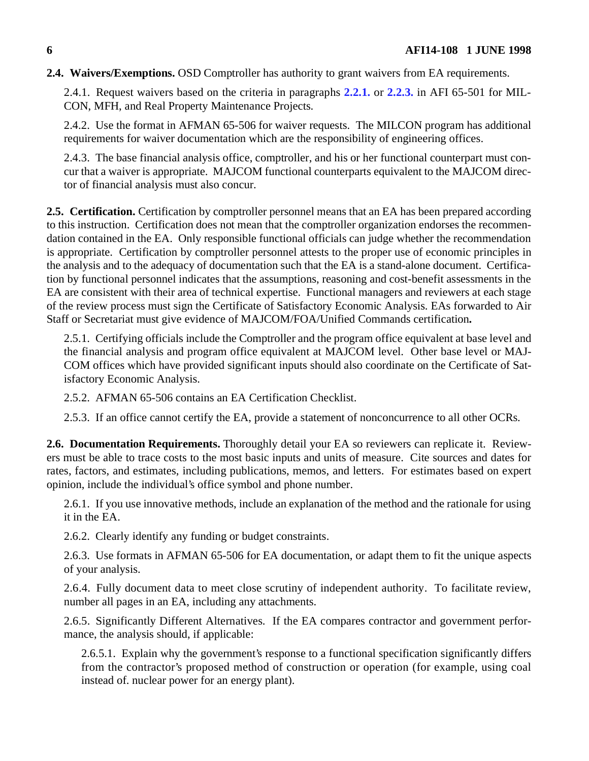## **2.4. Waivers/Exemptions.** OSD Comptroller has authority to grant waivers from EA requirements.

2.4.1. Request waivers based on the criteria in paragraphs **[2.2.1.](#page-3-0)** or **[2.2.3.](#page-3-0)** in AFI 65-501 for MIL-CON, MFH, and Real Property Maintenance Projects.

2.4.2. Use the format in AFMAN 65-506 for waiver requests. The MILCON program has additional requirements for waiver documentation which are the responsibility of engineering offices.

2.4.3. The base financial analysis office, comptroller, and his or her functional counterpart must concur that a waiver is appropriate. MAJCOM functional counterparts equivalent to the MAJCOM director of financial analysis must also concur.

2.5. Certification. Certification by comptroller personnel means that an EA has been prepared according to this instruction. Certification does not mean that the comptroller organization endorses the recommendation contained in the EA. Only responsible functional officials can judge whether the recommendation is appropriate. Certification by comptroller personnel attests to the proper use of economic principles in the analysis and to the adequacy of documentation such that the EA is a stand-alone document. Certification by functional personnel indicates that the assumptions, reasoning and cost-benefit assessments in the EA are consistent with their area of technical expertise. Functional managers and reviewers at each stage of the review process must sign the Certificate of Satisfactory Economic Analysis. EAs forwarded to Air Staff or Secretariat must give evidence of MAJCOM/FOA/Unified Commands certification**.**

2.5.1. Certifying officials include the Comptroller and the program office equivalent at base level and the financial analysis and program office equivalent at MAJCOM level. Other base level or MAJ-COM offices which have provided significant inputs should also coordinate on the Certificate of Satisfactory Economic Analysis.

2.5.2. AFMAN 65-506 contains an EA Certification Checklist.

2.5.3. If an office cannot certify the EA, provide a statement of nonconcurrence to all other OCRs.

**2.6. Documentation Requirements.** Thoroughly detail your EA so reviewers can replicate it. Reviewers must be able to trace costs to the most basic inputs and units of measure. Cite sources and dates for rates, factors, and estimates, including publications, memos, and letters. For estimates based on expert opinion, include the individual's office symbol and phone number.

2.6.1. If you use innovative methods, include an explanation of the method and the rationale for using it in the EA.

2.6.2. Clearly identify any funding or budget constraints.

2.6.3. Use formats in AFMAN 65-506 for EA documentation, or adapt them to fit the unique aspects of your analysis.

2.6.4. Fully document data to meet close scrutiny of independent authority. To facilitate review, number all pages in an EA, including any attachments.

2.6.5. Significantly Different Alternatives. If the EA compares contractor and government performance, the analysis should, if applicable:

2.6.5.1. Explain why the government's response to a functional specification significantly differs from the contractor's proposed method of construction or operation (for example, using coal instead of. nuclear power for an energy plant).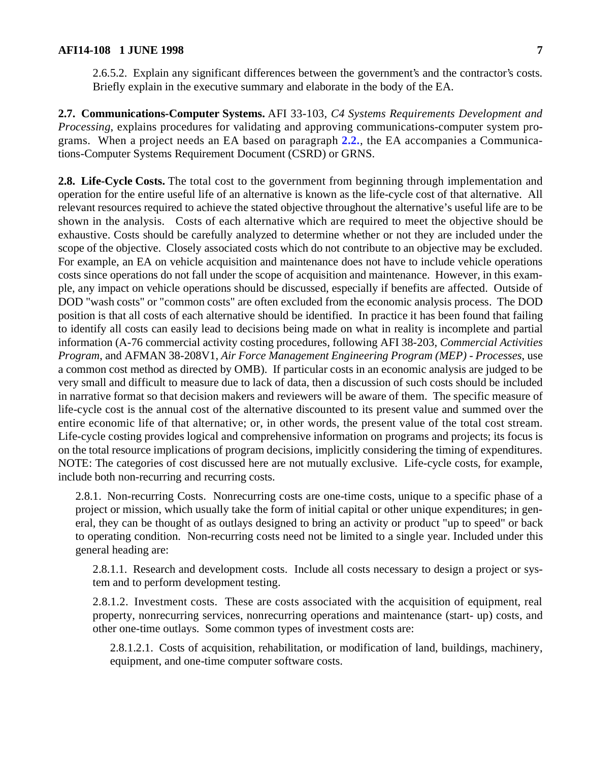2.6.5.2. Explain any significant differences between the government's and the contractor's costs. Briefly explain in the executive summary and elaborate in the body of the EA.

**2.7. Communications-Computer Systems.** AFI 33-103, *C4 Systems Requirements Development and Processing*, explains procedures for validating and approving communications-computer system programs. When a project needs an EA based on paragraph **[2.2.](#page-3-0)**, the EA accompanies a Communications-Computer Systems Requirement Document (CSRD) or GRNS.

2.8. Life-Cycle Costs. The total cost to the government from beginning through implementation and operation for the entire useful life of an alternative is known as the life-cycle cost of that alternative. All relevant resources required to achieve the stated objective throughout the alternative's useful life are to be shown in the analysis. Costs of each alternative which are required to meet the objective should be exhaustive. Costs should be carefully analyzed to determine whether or not they are included under the scope of the objective. Closely associated costs which do not contribute to an objective may be excluded. For example, an EA on vehicle acquisition and maintenance does not have to include vehicle operations costs since operations do not fall under the scope of acquisition and maintenance. However, in this example, any impact on vehicle operations should be discussed, especially if benefits are affected. Outside of DOD "wash costs" or "common costs" are often excluded from the economic analysis process. The DOD position is that all costs of each alternative should be identified. In practice it has been found that failing to identify all costs can easily lead to decisions being made on what in reality is incomplete and partial information (A-76 commercial activity costing procedures, following AFI 38-203, *Commercial Activities Program*, and AFMAN 38-208V1, *Air Force Management Engineering Program (MEP) - Processes*, use a common cost method as directed by OMB). If particular costs in an economic analysis are judged to be very small and difficult to measure due to lack of data, then a discussion of such costs should be included in narrative format so that decision makers and reviewers will be aware of them. The specific measure of life-cycle cost is the annual cost of the alternative discounted to its present value and summed over the entire economic life of that alternative; or, in other words, the present value of the total cost stream. Life-cycle costing provides logical and comprehensive information on programs and projects; its focus is on the total resource implications of program decisions, implicitly considering the timing of expenditures. NOTE: The categories of cost discussed here are not mutually exclusive. Life-cycle costs, for example, include both non-recurring and recurring costs.

2.8.1. Non-recurring Costs. Nonrecurring costs are one-time costs, unique to a specific phase of a project or mission, which usually take the form of initial capital or other unique expenditures; in general, they can be thought of as outlays designed to bring an activity or product "up to speed" or back to operating condition. Non-recurring costs need not be limited to a single year. Included under this general heading are:

2.8.1.1. Research and development costs. Include all costs necessary to design a project or system and to perform development testing.

2.8.1.2. Investment costs. These are costs associated with the acquisition of equipment, real property, nonrecurring services, nonrecurring operations and maintenance (start- up) costs, and other one-time outlays. Some common types of investment costs are:

2.8.1.2.1. Costs of acquisition, rehabilitation, or modification of land, buildings, machinery, equipment, and one-time computer software costs.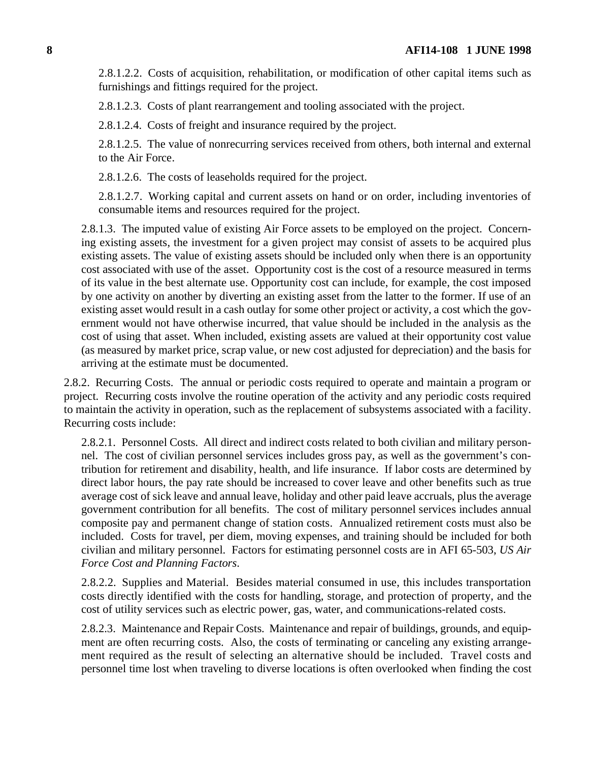2.8.1.2.2. Costs of acquisition, rehabilitation, or modification of other capital items such as furnishings and fittings required for the project.

2.8.1.2.3. Costs of plant rearrangement and tooling associated with the project.

2.8.1.2.4. Costs of freight and insurance required by the project.

2.8.1.2.5. The value of nonrecurring services received from others, both internal and external to the Air Force.

2.8.1.2.6. The costs of leaseholds required for the project.

2.8.1.2.7. Working capital and current assets on hand or on order, including inventories of consumable items and resources required for the project.

2.8.1.3. The imputed value of existing Air Force assets to be employed on the project. Concerning existing assets, the investment for a given project may consist of assets to be acquired plus existing assets. The value of existing assets should be included only when there is an opportunity cost associated with use of the asset. Opportunity cost is the cost of a resource measured in terms of its value in the best alternate use. Opportunity cost can include, for example, the cost imposed by one activity on another by diverting an existing asset from the latter to the former. If use of an existing asset would result in a cash outlay for some other project or activity, a cost which the government would not have otherwise incurred, that value should be included in the analysis as the cost of using that asset. When included, existing assets are valued at their opportunity cost value (as measured by market price, scrap value, or new cost adjusted for depreciation) and the basis for arriving at the estimate must be documented.

2.8.2. Recurring Costs. The annual or periodic costs required to operate and maintain a program or project. Recurring costs involve the routine operation of the activity and any periodic costs required to maintain the activity in operation, such as the replacement of subsystems associated with a facility. Recurring costs include:

2.8.2.1. Personnel Costs. All direct and indirect costs related to both civilian and military personnel. The cost of civilian personnel services includes gross pay, as well as the government's contribution for retirement and disability, health, and life insurance. If labor costs are determined by direct labor hours, the pay rate should be increased to cover leave and other benefits such as true average cost of sick leave and annual leave, holiday and other paid leave accruals, plus the average government contribution for all benefits. The cost of military personnel services includes annual composite pay and permanent change of station costs. Annualized retirement costs must also be included. Costs for travel, per diem, moving expenses, and training should be included for both civilian and military personnel. Factors for estimating personnel costs are in AFI 65-503, *US Air Force Cost and Planning Factors*.

2.8.2.2. Supplies and Material. Besides material consumed in use, this includes transportation costs directly identified with the costs for handling, storage, and protection of property, and the cost of utility services such as electric power, gas, water, and communications-related costs.

2.8.2.3. Maintenance and Repair Costs. Maintenance and repair of buildings, grounds, and equipment are often recurring costs. Also, the costs of terminating or canceling any existing arrangement required as the result of selecting an alternative should be included. Travel costs and personnel time lost when traveling to diverse locations is often overlooked when finding the cost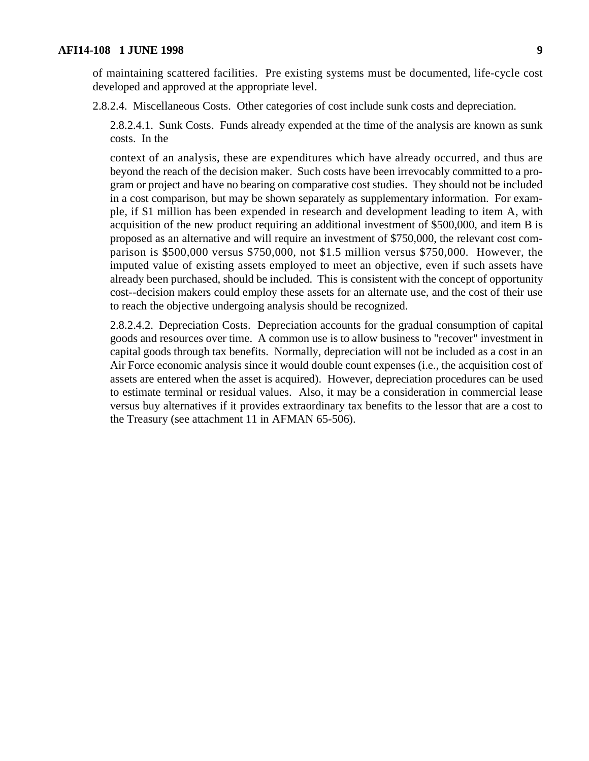of maintaining scattered facilities. Pre existing systems must be documented, life-cycle cost developed and approved at the appropriate level.

2.8.2.4. Miscellaneous Costs. Other categories of cost include sunk costs and depreciation.

2.8.2.4.1. Sunk Costs. Funds already expended at the time of the analysis are known as sunk costs. In the

context of an analysis, these are expenditures which have already occurred, and thus are beyond the reach of the decision maker. Such costs have been irrevocably committed to a program or project and have no bearing on comparative cost studies. They should not be included in a cost comparison, but may be shown separately as supplementary information. For example, if \$1 million has been expended in research and development leading to item A, with acquisition of the new product requiring an additional investment of \$500,000, and item B is proposed as an alternative and will require an investment of \$750,000, the relevant cost comparison is \$500,000 versus \$750,000, not \$1.5 million versus \$750,000. However, the imputed value of existing assets employed to meet an objective, even if such assets have already been purchased, should be included. This is consistent with the concept of opportunity cost--decision makers could employ these assets for an alternate use, and the cost of their use to reach the objective undergoing analysis should be recognized.

2.8.2.4.2. Depreciation Costs. Depreciation accounts for the gradual consumption of capital goods and resources over time. A common use is to allow business to "recover" investment in capital goods through tax benefits. Normally, depreciation will not be included as a cost in an Air Force economic analysis since it would double count expenses (i.e., the acquisition cost of assets are entered when the asset is acquired). However, depreciation procedures can be used to estimate terminal or residual values. Also, it may be a consideration in commercial lease versus buy alternatives if it provides extraordinary tax benefits to the lessor that are a cost to the Treasury (see attachment 11 in AFMAN 65-506).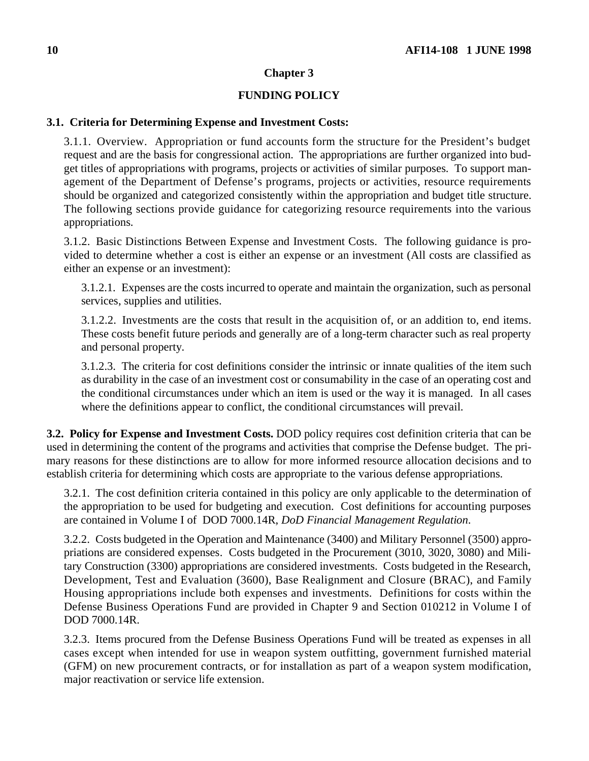## **Chapter 3**

### **FUNDING POLICY**

#### **3.1. Criteria for Determining Expense and Investment Costs:**

3.1.1. Overview.Appropriation or fund accounts form the structure for the President's budget request and are the basis for congressional action. The appropriations are further organized into budget titles of appropriations with programs, projects or activities of similar purposes. To support management of the Department of Defense's programs, projects or activities, resource requirements should be organized and categorized consistently within the appropriation and budget title structure. The following sections provide guidance for categorizing resource requirements into the various appropriations.

3.1.2. Basic Distinctions Between Expense and Investment Costs. The following guidance is provided to determine whether a cost is either an expense or an investment (All costs are classified as either an expense or an investment):

3.1.2.1. Expenses are the costs incurred to operate and maintain the organization, such as personal services, supplies and utilities.

3.1.2.2. Investments are the costs that result in the acquisition of, or an addition to, end items. These costs benefit future periods and generally are of a long-term character such as real property and personal property.

3.1.2.3. The criteria for cost definitions consider the intrinsic or innate qualities of the item such as durability in the case of an investment cost or consumability in the case of an operating cost and the conditional circumstances under which an item is used or the way it is managed. In all cases where the definitions appear to conflict, the conditional circumstances will prevail.

**3.2. Policy for Expense and Investment Costs.** DOD policy requires cost definition criteria that can be used in determining the content of the programs and activities that comprise the Defense budget. The primary reasons for these distinctions are to allow for more informed resource allocation decisions and to establish criteria for determining which costs are appropriate to the various defense appropriations.

3.2.1. The cost definition criteria contained in this policy are only applicable to the determination of the appropriation to be used for budgeting and execution. Cost definitions for accounting purposes are contained in Volume I of DOD 7000.14R, *DoD Financial Management Regulation*.

3.2.2. Costs budgeted in the Operation and Maintenance (3400) and Military Personnel (3500) appropriations are considered expenses. Costs budgeted in the Procurement (3010, 3020, 3080) and Military Construction (3300) appropriations are considered investments. Costs budgeted in the Research, Development, Test and Evaluation (3600), Base Realignment and Closure (BRAC), and Family Housing appropriations include both expenses and investments. Definitions for costs within the Defense Business Operations Fund are provided in Chapter 9 and Section 010212 in Volume I of DOD 7000.14R.

3.2.3. Items procured from the Defense Business Operations Fund will be treated as expenses in all cases except when intended for use in weapon system outfitting, government furnished material (GFM) on new procurement contracts, or for installation as part of a weapon system modification, major reactivation or service life extension.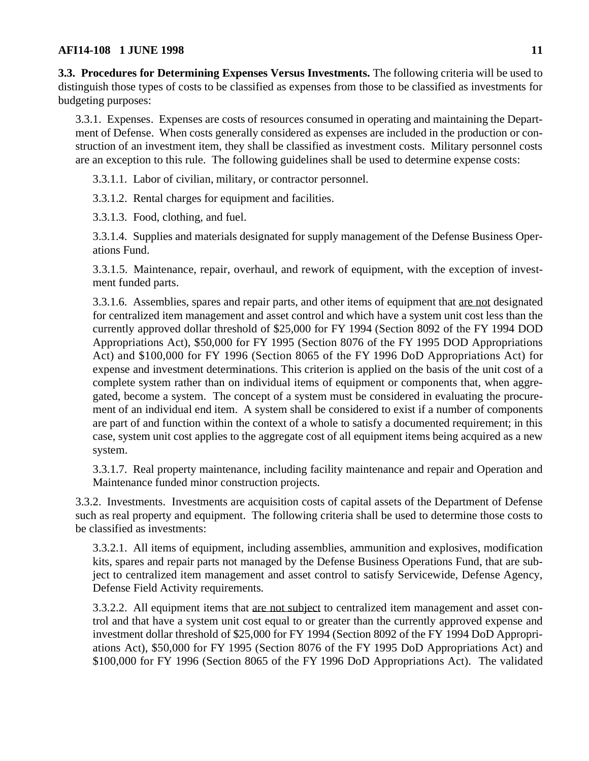<span id="page-10-0"></span>**3.3. Procedures for Determining Expenses Versus Investments.** The following criteria will be used to distinguish those types of costs to be classified as expenses from those to be classified as investments for budgeting purposes:

3.3.1. Expenses. Expenses are costs of resources consumed in operating and maintaining the Department of Defense. When costs generally considered as expenses are included in the production or construction of an investment item, they shall be classified as investment costs. Military personnel costs are an exception to this rule. The following guidelines shall be used to determine expense costs:

3.3.1.1. Labor of civilian, military, or contractor personnel.

3.3.1.2. Rental charges for equipment and facilities.

3.3.1.3. Food, clothing, and fuel.

3.3.1.4. Supplies and materials designated for supply management of the Defense Business Operations Fund.

3.3.1.5. Maintenance, repair, overhaul, and rework of equipment, with the exception of investment funded parts.

3.3.1.6. Assemblies, spares and repair parts, and other items of equipment that are not designated for centralized item management and asset control and which have a system unit cost less than the currently approved dollar threshold of \$25,000 for FY 1994 (Section 8092 of the FY 1994 DOD Appropriations Act), \$50,000 for FY 1995 (Section 8076 of the FY 1995 DOD Appropriations Act) and \$100,000 for FY 1996 (Section 8065 of the FY 1996 DoD Appropriations Act) for expense and investment determinations. This criterion is applied on the basis of the unit cost of a complete system rather than on individual items of equipment or components that, when aggregated, become a system. The concept of a system must be considered in evaluating the procurement of an individual end item. A system shall be considered to exist if a number of components are part of and function within the context of a whole to satisfy a documented requirement; in this case, system unit cost applies to the aggregate cost of all equipment items being acquired as a new system.

3.3.1.7. Real property maintenance, including facility maintenance and repair and Operation and Maintenance funded minor construction projects.

3.3.2. Investments. Investments are acquisition costs of capital assets of the Department of Defense such as real property and equipment. The following criteria shall be used to determine those costs to be classified as investments:

3.3.2.1. All items of equipment, including assemblies, ammunition and explosives, modification kits, spares and repair parts not managed by the Defense Business Operations Fund, that are subject to centralized item management and asset control to satisfy Servicewide, Defense Agency, Defense Field Activity requirements.

3.3.2.2. All equipment items that are not subject to centralized item management and asset control and that have a system unit cost equal to or greater than the currently approved expense and investment dollar threshold of \$25,000 for FY 1994 (Section 8092 of the FY 1994 DoD Appropriations Act), \$50,000 for FY 1995 (Section 8076 of the FY 1995 DoD Appropriations Act) and \$100,000 for FY 1996 (Section 8065 of the FY 1996 DoD Appropriations Act). The validated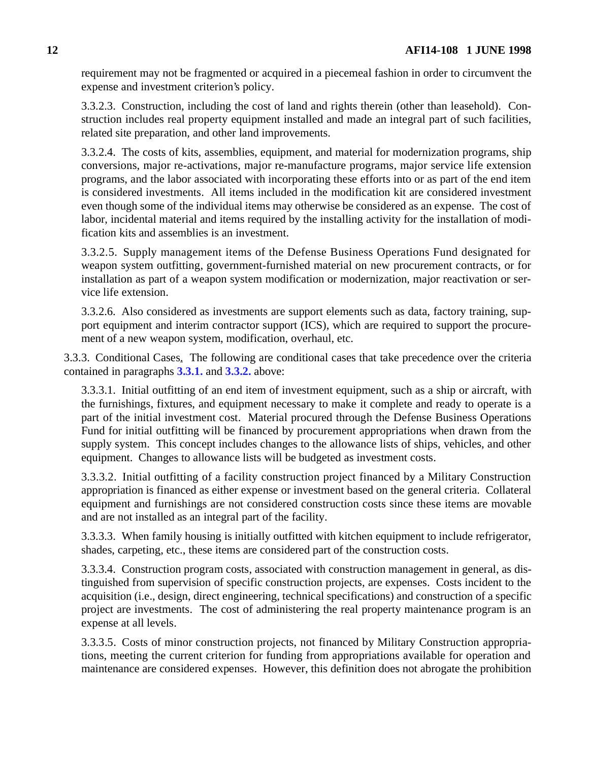requirement may not be fragmented or acquired in a piecemeal fashion in order to circumvent the expense and investment criterion's policy.

3.3.2.3. Construction, including the cost of land and rights therein (other than leasehold). Construction includes real property equipment installed and made an integral part of such facilities, related site preparation, and other land improvements.

3.3.2.4. The costs of kits, assemblies, equipment, and material for modernization programs, ship conversions, major re-activations, major re-manufacture programs, major service life extension programs, and the labor associated with incorporating these efforts into or as part of the end item is considered investments. All items included in the modification kit are considered investment even though some of the individual items may otherwise be considered as an expense. The cost of labor, incidental material and items required by the installing activity for the installation of modification kits and assemblies is an investment.

3.3.2.5. Supply management items of the Defense Business Operations Fund designated for weapon system outfitting, government-furnished material on new procurement contracts, or for installation as part of a weapon system modification or modernization, major reactivation or service life extension.

3.3.2.6. Also considered as investments are support elements such as data, factory training, support equipment and interim contractor support (ICS), which are required to support the procurement of a new weapon system, modification, overhaul, etc.

3.3.3. Conditional Cases. The following are conditional cases that take precedence over the criteria contained in paragraphs **[3.3.1.](#page-10-0)** and **[3.3.2.](#page-10-0)** above:

3.3.3.1. Initial outfitting of an end item of investment equipment, such as a ship or aircraft, with the furnishings, fixtures, and equipment necessary to make it complete and ready to operate is a part of the initial investment cost. Material procured through the Defense Business Operations Fund for initial outfitting will be financed by procurement appropriations when drawn from the supply system. This concept includes changes to the allowance lists of ships, vehicles, and other equipment. Changes to allowance lists will be budgeted as investment costs.

3.3.3.2. Initial outfitting of a facility construction project financed by a Military Construction appropriation is financed as either expense or investment based on the general criteria. Collateral equipment and furnishings are not considered construction costs since these items are movable and are not installed as an integral part of the facility.

3.3.3.3. When family housing is initially outfitted with kitchen equipment to include refrigerator, shades, carpeting, etc., these items are considered part of the construction costs.

3.3.3.4. Construction program costs, associated with construction management in general, as distinguished from supervision of specific construction projects, are expenses. Costs incident to the acquisition (i.e., design, direct engineering, technical specifications) and construction of a specific project are investments. The cost of administering the real property maintenance program is an expense at all levels.

3.3.3.5. Costs of minor construction projects, not financed by Military Construction appropriations, meeting the current criterion for funding from appropriations available for operation and maintenance are considered expenses. However, this definition does not abrogate the prohibition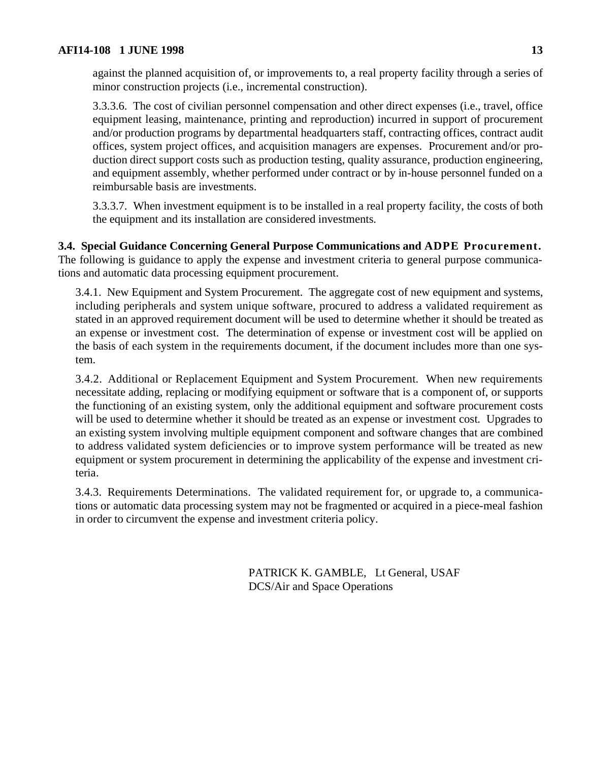against the planned acquisition of, or improvements to, a real property facility through a series of minor construction projects (i.e., incremental construction).

3.3.3.6. The cost of civilian personnel compensation and other direct expenses (i.e., travel, office equipment leasing, maintenance, printing and reproduction) incurred in support of procurement and/or production programs by departmental headquarters staff, contracting offices, contract audit offices, system project offices, and acquisition managers are expenses. Procurement and/or production direct support costs such as production testing, quality assurance, production engineering, and equipment assembly, whether performed under contract or by in-house personnel funded on a reimbursable basis are investments.

3.3.3.7. When investment equipment is to be installed in a real property facility, the costs of both the equipment and its installation are considered investments.

**3.4. Special Guidance Concerning General Purpose Communications and ADPE Procurement.** The following is guidance to apply the expense and investment criteria to general purpose communications and automatic data processing equipment procurement.

3.4.1. New Equipment and System Procurement. The aggregate cost of new equipment and systems, including peripherals and system unique software, procured to address a validated requirement as stated in an approved requirement document will be used to determine whether it should be treated as an expense or investment cost. The determination of expense or investment cost will be applied on the basis of each system in the requirements document, if the document includes more than one system.

3.4.2. Additional or Replacement Equipment and System Procurement. When new requirements necessitate adding, replacing or modifying equipment or software that is a component of, or supports the functioning of an existing system, only the additional equipment and software procurement costs will be used to determine whether it should be treated as an expense or investment cost. Upgrades to an existing system involving multiple equipment component and software changes that are combined to address validated system deficiencies or to improve system performance will be treated as new equipment or system procurement in determining the applicability of the expense and investment criteria.

3.4.3. Requirements Determinations. The validated requirement for, or upgrade to, a communications or automatic data processing system may not be fragmented or acquired in a piece-meal fashion in order to circumvent the expense and investment criteria policy.

> PATRICK K. GAMBLE, Lt General, USAF DCS/Air and Space Operations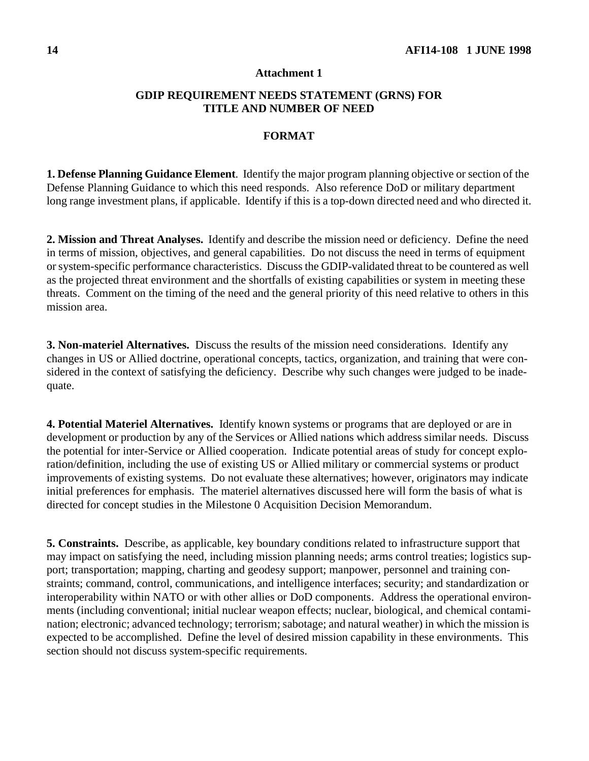#### **Attachment 1**

## **GDIP REQUIREMENT NEEDS STATEMENT (GRNS) FOR TITLE AND NUMBER OF NEED**

#### **FORMAT**

**1. Defense Planning Guidance Element**. Identify the major program planning objective or section of the Defense Planning Guidance to which this need responds. Also reference DoD or military department long range investment plans, if applicable. Identify if this is a top-down directed need and who directed it.

**2. Mission and Threat Analyses.** Identify and describe the mission need or deficiency. Define the need in terms of mission, objectives, and general capabilities. Do not discuss the need in terms of equipment or system-specific performance characteristics. Discuss the GDIP-validated threat to be countered as well as the projected threat environment and the shortfalls of existing capabilities or system in meeting these threats. Comment on the timing of the need and the general priority of this need relative to others in this mission area.

**3. Non-materiel Alternatives.** Discuss the results of the mission need considerations. Identify any changes in US or Allied doctrine, operational concepts, tactics, organization, and training that were considered in the context of satisfying the deficiency. Describe why such changes were judged to be inadequate.

**4. Potential Materiel Alternatives.** Identify known systems or programs that are deployed or are in development or production by any of the Services or Allied nations which address similar needs. Discuss the potential for inter-Service or Allied cooperation. Indicate potential areas of study for concept exploration/definition, including the use of existing US or Allied military or commercial systems or product improvements of existing systems. Do not evaluate these alternatives; however, originators may indicate initial preferences for emphasis. The materiel alternatives discussed here will form the basis of what is directed for concept studies in the Milestone 0 Acquisition Decision Memorandum.

**5. Constraints.** Describe, as applicable, key boundary conditions related to infrastructure support that may impact on satisfying the need, including mission planning needs; arms control treaties; logistics support; transportation; mapping, charting and geodesy support; manpower, personnel and training constraints; command, control, communications, and intelligence interfaces; security; and standardization or interoperability within NATO or with other allies or DoD components. Address the operational environments (including conventional; initial nuclear weapon effects; nuclear, biological, and chemical contamination; electronic; advanced technology; terrorism; sabotage; and natural weather) in which the mission is expected to be accomplished. Define the level of desired mission capability in these environments. This section should not discuss system-specific requirements.